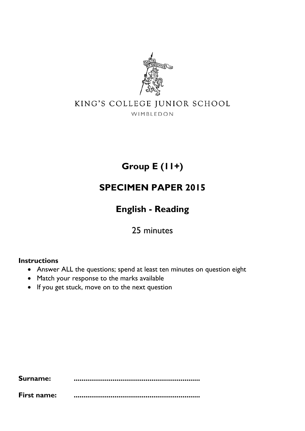

## KING'S COLLEGE JUNIOR SCHOOL

WIMBLEDON

**Group E (11+)** 

# **SPECIMEN PAPER 2015**

# **English - Reading**

## 25 minutes

#### **Instructions**

- Answer ALL the questions; spend at least ten minutes on question eight
- Match your response to the marks available
- If you get stuck, move on to the next question

**Surname: .................................................................** 

**First name: .................................................................**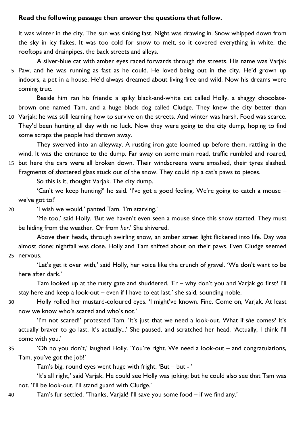#### **Read the following passage then answer the questions that follow.**

It was winter in the city. The sun was sinking fast. Night was drawing in. Snow whipped down from the sky in icy flakes. It was too cold for snow to melt, so it covered everything in white: the rooftops and drainpipes, the back streets and alleys.

 A silver-blue cat with amber eyes raced forwards through the streets. His name was Varjak 5 Paw, and he was running as fast as he could. He loved being out in the city. He'd grown up indoors, a pet in a house. He'd always dreamed about living free and wild. Now his dreams were coming true.

 Beside him ran his friends: a spiky black-and-white cat called Holly, a shaggy chocolatebrown one named Tam, and a huge black dog called Cludge. They knew the city better than

10 Varjak; he was still learning how to survive on the streets. And winter was harsh. Food was scarce. They'd been hunting all day with no luck. Now they were going to the city dump, hoping to find some scraps the people had thrown away.

 They swerved into an alleyway. A rusting iron gate loomed up before them, rattling in the wind. It was the entrance to the dump. Far away on some main road, traffic rumbled and roared, 15 but here the cars were all broken down. Their windscreens were smashed, their tyres slashed.

Fragments of shattered glass stuck out of the snow. They could rip a cat's paws to pieces.

So this is it, thought Varjak. The city dump.

 'Can't we keep hunting?' he said. 'I've got a good feeling. We're going to catch a mouse – we've got to!'

20 'I wish we would,' panted Tam. 'I'm starving.'

 'Me too,' said Holly. 'But we haven't even seen a mouse since this snow started. They must be hiding from the weather. Or from *her*.' She shivered.

 Above their heads, through swirling snow, an amber street light flickered into life. Day was almost done; nightfall was close. Holly and Tam shifted about on their paws. Even Cludge seemed 25 nervous.

 'Let's get it over with,' said Holly, her voice like the crunch of gravel. 'We don't want to be here after dark.'

 Tam looked up at the rusty gate and shuddered. 'Er – why don't you and Varjak go first? I'll stay here and keep a look-out – even if I have to eat last,' she said, sounding noble.

30 Holly rolled her mustard-coloured eyes. 'I might've known. Fine. Come on, Varjak. At least now we know who's scared and who's not.'

 'I'm not scared!' protested Tam. 'It's just that we need a look-out. What if *she* comes? It's actually braver to go last. It's actually...' She paused, and scratched her head. 'Actually, I think I'll come with you.'

35 'Oh no you don't,' laughed Holly. 'You're right. We need a look-out – and congratulations, Tam, you've got the job!'

Tam's big, round eyes went huge with fright. 'But – but - '

 'It's all right,' said Varjak. He could see Holly was joking; but he could also see that Tam was not. 'I'll be look-out. I'll stand guard with Cludge.'

40 Tam's fur settled. 'Thanks, Varjak! I'll save you some food – if we find any.'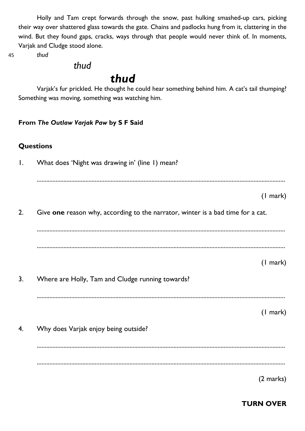Holly and Tam crept forwards through the snow, past hulking smashed-up cars, picking their way over shattered glass towards the gate. Chains and padlocks hung from it, clattering in the wind. But they found gaps, cracks, ways through that people would never think of. In moments, Varjak and Cludge stood alone.

45 *thud* 

## *thud*

# *thud*

 Varjak's fur prickled. He thought he could hear something behind him. A cat's tail thumping? Something was moving, something was watching him.

#### **From** *The Outlaw Varjak Paw* **by S F Said**

## **Questions**

| $\mathbf{I}$ . | What does 'Night was drawing in' (line 1) mean?                                 |           |
|----------------|---------------------------------------------------------------------------------|-----------|
|                |                                                                                 | (1 mark)  |
| 2.             | Give one reason why, according to the narrator, winter is a bad time for a cat. |           |
|                |                                                                                 |           |
|                |                                                                                 | (1 mark)  |
| 3.             | Where are Holly, Tam and Cludge running towards?                                |           |
|                |                                                                                 | (1 mark)  |
| 4.             | Why does Varjak enjoy being outside?                                            |           |
|                |                                                                                 |           |
|                |                                                                                 | (2 marks) |

### **TURN OVER**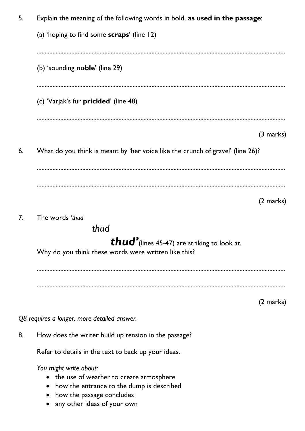| 5. | Explain the meaning of the following words in bold, as used in the passage:                                 |                     |
|----|-------------------------------------------------------------------------------------------------------------|---------------------|
|    | (a) 'hoping to find some scraps' (line 12)                                                                  |                     |
|    | (b) 'sounding <b>noble'</b> (line 29)                                                                       |                     |
|    | (c) 'Varjak's fur <b>prickled</b> ' (line 48)                                                               |                     |
|    |                                                                                                             | $(3 \text{ marks})$ |
| 6. | What do you think is meant by 'her voice like the crunch of gravel' (line 26)?                              |                     |
|    |                                                                                                             | $(2 \text{ marks})$ |
| 7. | The words 'thud<br>thud                                                                                     |                     |
|    | <b>thud'</b> (lines 45-47) are striking to look at.<br>Why do you think these words were written like this? |                     |
|    |                                                                                                             |                     |
|    |                                                                                                             | $(2 \text{ marks})$ |
|    | Q8 requires a longer, more detailed answer.                                                                 |                     |

8. How does the writer build up tension in the passage?

Refer to details in the text to back up your ideas.

*You might write about:* 

- the use of weather to create atmosphere
- how the entrance to the dump is described
- how the passage concludes
- any other ideas of your own